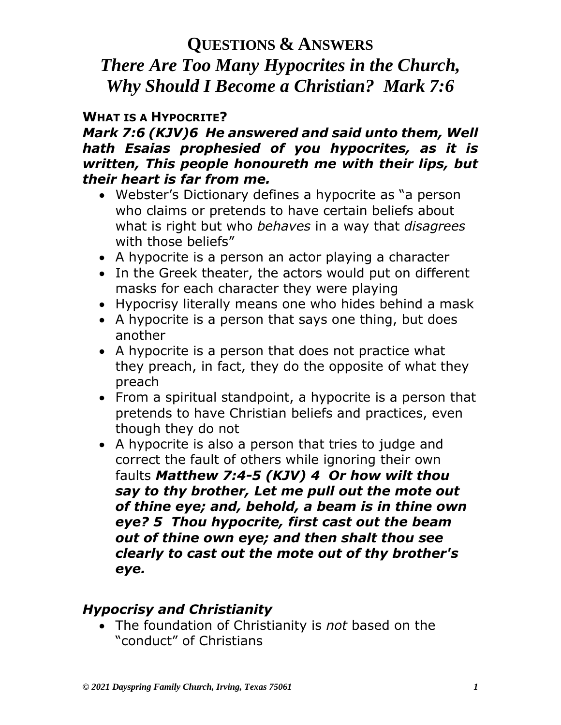# **QUESTIONS & ANSWERS**

*There Are Too Many Hypocrites in the Church, Why Should I Become a Christian? Mark 7:6*

### **WHAT IS A HYPOCRITE?**

### *Mark 7:6 (KJV)6 He answered and said unto them, Well hath Esaias prophesied of you hypocrites, as it is written, This people honoureth me with their lips, but their heart is far from me.*

- Webster's Dictionary defines a hypocrite as "a person who claims or pretends to have certain beliefs about what is right but who *behaves* in a way that *disagrees* with those beliefs"
- A hypocrite is a person an actor playing a character
- In the Greek theater, the actors would put on different masks for each character they were playing
- Hypocrisy literally means one who hides behind a mask
- A hypocrite is a person that says one thing, but does another
- A hypocrite is a person that does not practice what they preach, in fact, they do the opposite of what they preach
- From a spiritual standpoint, a hypocrite is a person that pretends to have Christian beliefs and practices, even though they do not
- A hypocrite is also a person that tries to judge and correct the fault of others while ignoring their own faults *Matthew 7:4-5 (KJV) 4 Or how wilt thou say to thy brother, Let me pull out the mote out of thine eye; and, behold, a beam is in thine own eye? 5 Thou hypocrite, first cast out the beam out of thine own eye; and then shalt thou see clearly to cast out the mote out of thy brother's eye.*

#### *Hypocrisy and Christianity*

• The foundation of Christianity is *not* based on the "conduct" of Christians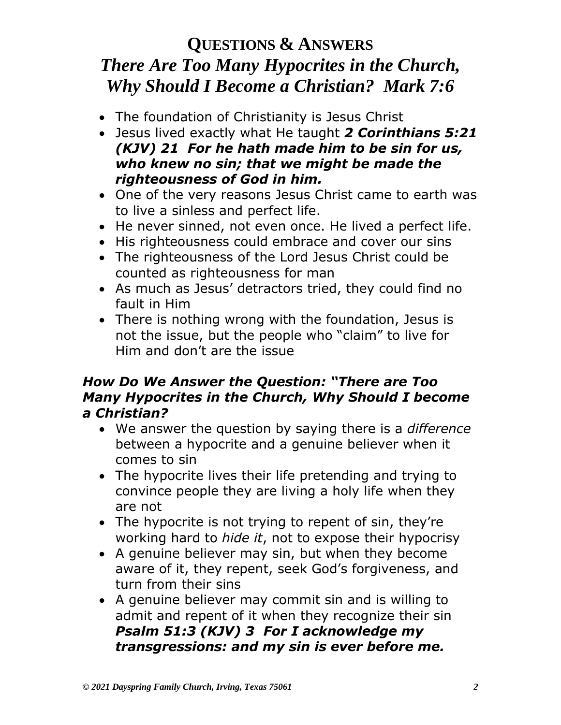# **QUESTIONS & ANSWERS** *There Are Too Many Hypocrites in the Church, Why Should I Become a Christian? Mark 7:6*

- The foundation of Christianity is Jesus Christ
- Jesus lived exactly what He taught *2 Corinthians 5:21 (KJV) 21 For he hath made him to be sin for us, who knew no sin; that we might be made the righteousness of God in him.*
- One of the very reasons Jesus Christ came to earth was to live a sinless and perfect life.
- He never sinned, not even once. He lived a perfect life.
- His righteousness could embrace and cover our sins
- The righteousness of the Lord Jesus Christ could be counted as righteousness for man
- As much as Jesus' detractors tried, they could find no fault in Him
- There is nothing wrong with the foundation, Jesus is not the issue, but the people who "claim" to live for Him and don't are the issue

### *How Do We Answer the Question: "There are Too Many Hypocrites in the Church, Why Should I become a Christian?*

- We answer the question by saying there is a *difference* between a hypocrite and a genuine believer when it comes to sin
- The hypocrite lives their life pretending and trying to convince people they are living a holy life when they are not
- The hypocrite is not trying to repent of sin, they're working hard to *hide it*, not to expose their hypocrisy
- A genuine believer may sin, but when they become aware of it, they repent, seek God's forgiveness, and turn from their sins
- A genuine believer may commit sin and is willing to admit and repent of it when they recognize their sin *Psalm 51:3 (KJV) 3 For I acknowledge my transgressions: and my sin is ever before me.*